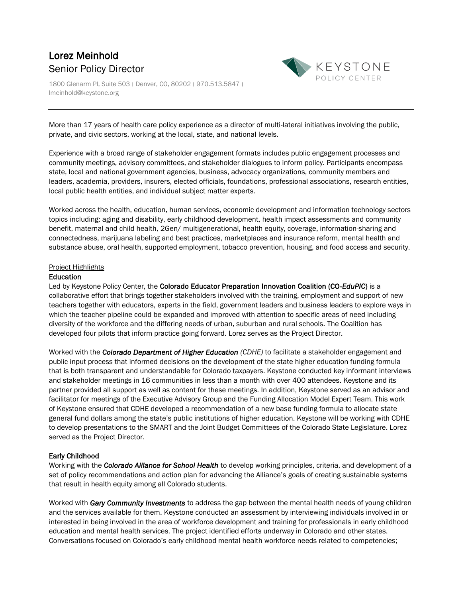# Lorez Meinhold Senior Policy Director

1800 Glenarm Pl, Suite 503 ׀ Denver, CO, 80202 ׀ 970.513.5847 ׀ lmeinhold@keystone.org



More than 17 years of health care policy experience as a director of multi-lateral initiatives involving the public, private, and civic sectors, working at the local, state, and national levels.

Experience with a broad range of stakeholder engagement formats includes public engagement processes and community meetings, advisory committees, and stakeholder dialogues to inform policy. Participants encompass state, local and national government agencies, business, advocacy organizations, community members and leaders, academia, providers, insurers, elected officials, foundations, professional associations, research entities, local public health entities, and individual subject matter experts.

Worked across the health, education, human services, economic development and information technology sectors topics including: aging and disability, early childhood development, health impact assessments and community benefit, maternal and child health, 2Gen/ multigenerational, health equity, coverage, information-sharing and connectedness, marijuana labeling and best practices, marketplaces and insurance reform, mental health and substance abuse, oral health, supported employment, tobacco prevention, housing, and food access and security.

#### Project Highlights

#### Education

Led by Keystone Policy Center, the Colorado Educator Preparation Innovation Coalition (CO-*EduPIC*) is a collaborative effort that brings together stakeholders involved with the training, employment and support of new teachers together with educators, experts in the field, government leaders and business leaders to explore ways in which the teacher pipeline could be expanded and improved with attention to specific areas of need including diversity of the workforce and the differing needs of urban, suburban and rural schools. The Coalition has developed four pilots that inform practice going forward. Lorez serves as the Project Director.

Worked with the *Colorado Department of Higher Education (CDHE)* to facilitate a stakeholder engagement and public input process that informed decisions on the development of the state higher education funding formula that is both transparent and understandable for Colorado taxpayers. Keystone conducted key informant interviews and stakeholder meetings in 16 communities in less than a month with over 400 attendees. Keystone and its partner provided all support as well as content for these meetings. In addition, Keystone served as an advisor and facilitator for meetings of the Executive Advisory Group and the Funding Allocation Model Expert Team. This work of Keystone ensured that CDHE developed a recommendation of a new base funding formula to allocate state general fund dollars among the state's public institutions of higher education. Keystone will be working with CDHE to develop presentations to the SMART and the Joint Budget Committees of the Colorado State Legislature. Lorez served as the Project Director.

## Early Childhood

Working with the *Colorado Alliance for School Health* to develop working principles, criteria, and development of a set of policy recommendations and action plan for advancing the Alliance's goals of creating sustainable systems that result in health equity among all Colorado students.

Worked with *Gary Community Investments* to address the gap between the mental health needs of young children and the services available for them. Keystone conducted an assessment by interviewing individuals involved in or interested in being involved in the area of workforce development and training for professionals in early childhood education and mental health services. The project identified efforts underway in Colorado and other states. Conversations focused on Colorado's early childhood mental health workforce needs related to competencies;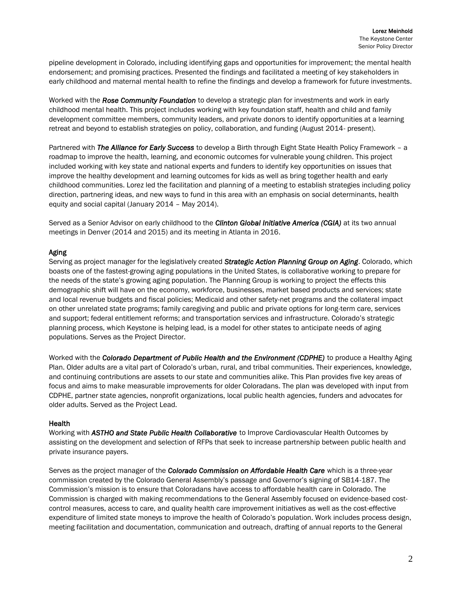pipeline development in Colorado, including identifying gaps and opportunities for improvement; the mental health endorsement; and promising practices. Presented the findings and facilitated a meeting of key stakeholders in early childhood and maternal mental health to refine the findings and develop a framework for future investments.

Worked with the *Rose Community Foundation* to develop a strategic plan for investments and work in early childhood mental health. This project includes working with key foundation staff, health and child and family development committee members, community leaders, and private donors to identify opportunities at a learning retreat and beyond to establish strategies on policy, collaboration, and funding (August 2014- present).

Partnered with *The Alliance for Early Success* to develop a Birth through Eight State Health Policy Framework – a roadmap to improve the health, learning, and economic outcomes for vulnerable young children. This project included working with key state and national experts and funders to identify key opportunities on issues that improve the healthy development and learning outcomes for kids as well as bring together health and early childhood communities. Lorez led the facilitation and planning of a meeting to establish strategies including policy direction, partnering ideas, and new ways to fund in this area with an emphasis on social determinants, health equity and social capital (January 2014 – May 2014).

Served as a Senior Advisor on early childhood to the *Clinton Global Initiative America (CGIA)* at its two annual meetings in Denver (2014 and 2015) and its meeting in Atlanta in 2016.

#### Aging

Serving as project manager for the legislatively created *Strategic Action Planning Group on Aging*. Colorado, which boasts one of the fastest-growing aging populations in the United States, is collaborative working to prepare for the needs of the state's growing aging population. The Planning Group is working to project the effects this demographic shift will have on the economy, workforce, businesses, market based products and services; state and local revenue budgets and fiscal policies; Medicaid and other safety-net programs and the collateral impact on other unrelated state programs; family caregiving and public and private options for long-term care, services and support; federal entitlement reforms; and transportation services and infrastructure. Colorado's strategic planning process, which Keystone is helping lead, is a model for other states to anticipate needs of aging populations. Serves as the Project Director.

Worked with the *Colorado Department of Public Health and the Environment (CDPHE)* to produce a Healthy Aging Plan. Older adults are a vital part of Colorado's urban, rural, and tribal communities. Their experiences, knowledge, and continuing contributions are assets to our state and communities alike. This Plan provides five key areas of focus and aims to make measurable improvements for older Coloradans. The plan was developed with input from CDPHE, partner state agencies, nonprofit organizations, local public health agencies, funders and advocates for older adults. Served as the Project Lead.

## Health

Working with *ASTHO and State Public Health Collaborative* to Improve Cardiovascular Health Outcomes by assisting on the development and selection of RFPs that seek to increase partnership between public health and private insurance payers.

Serves as the project manager of the *Colorado Commission on Affordable Health Care* which is a three-year commission created by the Colorado General Assembly's passage and Governor's signing of SB14-187. The Commission's mission is to ensure that Coloradans have access to affordable health care in Colorado. The Commission is charged with making recommendations to the General Assembly focused on evidence-based costcontrol measures, access to care, and quality health care improvement initiatives as well as the cost-effective expenditure of limited state moneys to improve the health of Colorado's population. Work includes process design, meeting facilitation and documentation, communication and outreach, drafting of annual reports to the General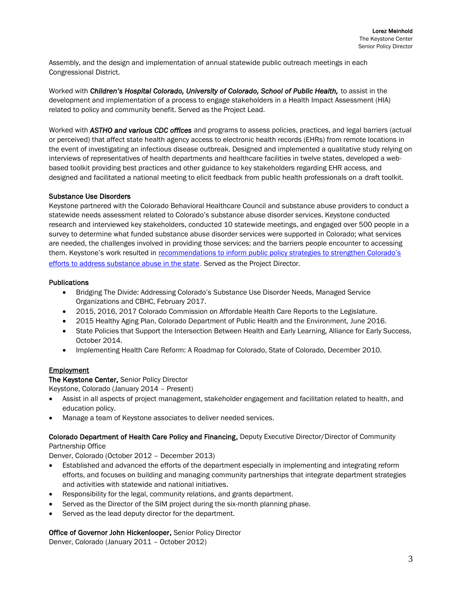Assembly, and the design and implementation of annual statewide public outreach meetings in each Congressional District.

Worked with *Children's Hospital Colorado, University of Colorado, School of Public Health,* to assist in the development and implementation of a process to engage stakeholders in a Health Impact Assessment (HIA) related to policy and community benefit. Served as the Project Lead.

Worked with *ASTHO and various CDC offices* and programs to assess policies, practices, and legal barriers (actual or perceived) that affect state health agency access to electronic health records (EHRs) from remote locations in the event of investigating an infectious disease outbreak. Designed and implemented a qualitative study relying on interviews of representatives of health departments and healthcare facilities in twelve states, developed a webbased toolkit providing best practices and other guidance to key stakeholders regarding EHR access, and designed and facilitated a national meeting to elicit feedback from public health professionals on a draft toolkit.

#### Substance Use Disorders

Keystone partnered with the Colorado Behavioral Healthcare Council and substance abuse providers to conduct a statewide needs assessment related to Colorado's substance abuse disorder services. Keystone conducted research and interviewed key stakeholders, conducted 10 statewide meetings, and engaged over 500 people in a survey to determine what funded substance abuse disorder services were supported in Colorado; what services are needed, the challenges involved in providing those services; and the barriers people encounter to accessing them. Keystone's work resulted in [recommendations to inform public policy strategie](https://www.keystone.org/wp-content/uploads/2017/03/Keystone-SUD-final.pdf)s to strengthen Colorado's [efforts to address substance abuse in the state](https://www.keystone.org/wp-content/uploads/2017/03/Keystone-SUD-final.pdf). Served as the Project Director.

#### **Publications**

- Bridging The Divide: Addressing Colorado's Substance Use Disorder Needs, Managed Service Organizations and CBHC, February 2017.
- 2015, 2016, 2017 Colorado Commission on Affordable Health Care Reports to the Legislature.
- 2015 Healthy Aging Plan, Colorado Department of Public Health and the Environment, June 2016.
- State Policies that Support the Intersection Between Health and Early Learning, Alliance for Early Success, October 2014.
- Implementing Health Care Reform: A Roadmap for Colorado, State of Colorado, December 2010.

## **Employment**

## The Keystone Center, Senior Policy Director

Keystone, Colorado (January 2014 – Present)

- Assist in all aspects of project management, stakeholder engagement and facilitation related to health, and education policy.
- Manage a team of Keystone associates to deliver needed services.

## Colorado Department of Health Care Policy and Financing, Deputy Executive Director/Director of Community Partnership Office

Denver, Colorado (October 2012 – December 2013)

- Established and advanced the efforts of the department especially in implementing and integrating reform efforts, and focuses on building and managing community partnerships that integrate department strategies and activities with statewide and national initiatives.
- Responsibility for the legal, community relations, and grants department.
- Served as the Director of the SIM project during the six-month planning phase.
- Served as the lead deputy director for the department.

## Office of Governor John Hickenlooper, Senior Policy Director

Denver, Colorado (January 2011 – October 2012)